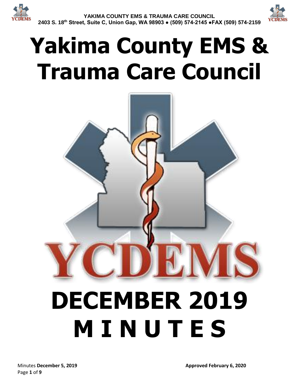

# **Yakima County EMS & Trauma Care Council**

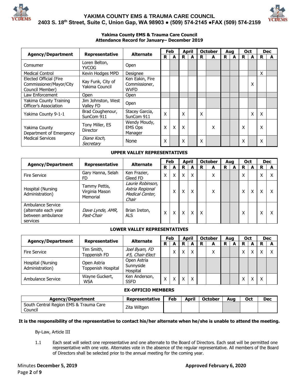



#### **Yakima County EMS & Trauma Care Council Attendance Record for January– December 2019**

|                                                                      |                                     | <b>Alternate</b>                                |   | Feb | <b>April</b> |   | <b>October</b> | Aua |   | <b>Oct</b> |   |   | <b>Dec</b> |
|----------------------------------------------------------------------|-------------------------------------|-------------------------------------------------|---|-----|--------------|---|----------------|-----|---|------------|---|---|------------|
| <b>Agency/Department</b>                                             | Representative                      |                                                 | R | А   | R            | R | A              | R   | A | R          | A | R | A          |
| Consumer                                                             | Loren Belton,<br><b>YVCOG</b>       | Open                                            |   |     |              |   |                |     |   |            |   |   |            |
| <b>Medical Control</b>                                               | Kevin Hodges MPD                    | Designee                                        |   |     |              |   |                |     |   |            |   | x |            |
| Elected Official (Fire<br>Commissioner/Mayor/City<br>Council Member) | Kay Funk, City of<br>Yakima Council | Ken Eakin, Fire<br>Commissioner,<br><b>WVFD</b> |   |     |              |   |                |     |   |            | x |   |            |
| Law Enforcement                                                      | <b>Open</b>                         | Open                                            |   |     |              |   |                |     |   |            |   |   |            |
| Yakima County Training<br>Officer's Association                      | Jim Johnston, West<br>Valley FD     | Open                                            |   |     |              |   |                |     |   |            |   |   |            |
| Yakima County 9-1-1                                                  | Brad Coughenour,<br>SunCom 911      | Stacey Garcia,<br>SunCom 911                    | Χ |     | Χ            | X |                |     |   |            | X | X |            |
| Yakima County<br>Department of Emergency                             | Tony Miller, ES<br><b>Director</b>  | Wendy Moudy,<br><b>EMS Ops</b><br>Manager       | x | X   | X            |   | Χ              |     |   | Χ          |   | x |            |
| <b>Medical Services</b>                                              | Diane Koch,<br>Secretary            | None                                            | Χ |     | Χ            | X |                |     |   | X          |   | X |            |

#### **UPPER VALLEY REPRESENTATIVES**

|                                                                            | <b>Alternate</b>                            |                                                                 |   | Feb          |   | <b>April</b> |   | <b>October</b> | Aua |   | Oct    |   |   | <b>Dec</b> |
|----------------------------------------------------------------------------|---------------------------------------------|-----------------------------------------------------------------|---|--------------|---|--------------|---|----------------|-----|---|--------|---|---|------------|
| <b>Agency/Department</b>                                                   | <b>Representative</b>                       |                                                                 | R | A            | R | A            | R | A              | R   | A | R      | А | R | А          |
| <b>Fire Service</b>                                                        | Gary Hanna, Selah<br>FD                     | Ken Frazier,<br>Gleed FD                                        | Χ | X            | X | X            |   | v<br>⋏         |     |   | Χ      |   | χ |            |
| Hospital (Nursing<br>Administration)                                       | Tammy Pettis,<br>Virginia Mason<br>Memorial | Laurie Robinson,<br>Astria Regional<br>Medical Center,<br>Chair |   | $\checkmark$ | X | x            |   | ∧              |     |   | v<br>́ | Χ | x |            |
| Ambulance Service<br>(alternate each year<br>between ambulance<br>services | Dave Lynde, AMR,<br>Past-Chair              | Brian Ireton,<br><b>ALS</b>                                     |   | v            | X | x            | Χ |                |     |   | χ      |   | v |            |

#### **LOWER VALLEY REPRESENTATIVES**

|                                      |                                   | <b>Alternate</b>                     | Feb          |   | April |   | <b>October</b> |   | Aug |   | <b>Oct</b> |              | <b>Dec</b> |  |
|--------------------------------------|-----------------------------------|--------------------------------------|--------------|---|-------|---|----------------|---|-----|---|------------|--------------|------------|--|
| <b>Agency/Department</b>             | Representative                    |                                      | R            | A | R     | A | R              | А | R   | A | R.         |              | R          |  |
| <b>Fire Service</b>                  | Tim Smith,<br>Toppenish FD        | Joel Byam, FD<br>#5, Chair-Elect     |              |   | x     | X |                | Χ |     |   |            | $\checkmark$ | χ          |  |
| Hospital (Nursing<br>Administration) | Open Astria<br>Toppenish Hospital | Open Astria<br>Sunnyside<br>Hospital |              |   |       |   |                |   |     |   |            |              |            |  |
| Ambulance Service                    | Wayne Guckert,<br><b>WSA</b>      | Ken Anderson,<br><b>SSFD</b>         | $\checkmark$ |   | x     | X |                |   |     |   |            | Χ            | Χ          |  |

#### **EX-OFFICIO MEMBERS**

| Agency/Department                                 | Representative | Feb | April | <b>October</b> | Aua | Oct | Dec |
|---------------------------------------------------|----------------|-----|-------|----------------|-----|-----|-----|
| South Central Region EMS & Trauma Care<br>Council | Zita Wiltgen   |     |       |                |     |     |     |

#### **It is the responsibility of the representative to contact his/her alternate when he/she is unable to attend the meeting.**

By-Law, Article III

1.1 Each seat will select one representative and one alternate to the Board of Directors. Each seat will be permitted one representative with one vote. Alternates vote in the absence of the regular representative. All members of the Board of Directors shall be selected prior to the annual meeting for the coming year.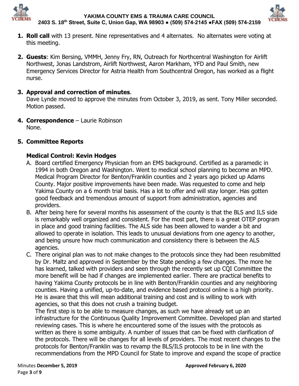



- **1. Roll call** with 13 present. Nine representatives and 4 alternates. No alternates were voting at this meeting.
- **2. Guests**: Kim Bersing, VMMH, Jenny Fry, RN, Outreach for Northcentral Washington for Airlift Northwest, Jonas Landstrom, Airlift Northwest, Aaron Markham, YFD and Paul Smith, new Emergency Services Director for Astria Health from Southcentral Oregon, has worked as a flight nurse.

# **3. Approval and correction of minutes**.

Dave Lynde moved to approve the minutes from October 3, 2019, as sent. Tony Miller seconded. Motion passed.

**4. Correspondence** – Laurie Robinson None.

# **5. Committee Reports**

# **Medical Control: Kevin Hodges**

- A. Board certified Emergency Physician from an EMS background. Certified as a paramedic in 1994 in both Oregon and Washington. Went to medical school planning to become an MPD. Medical Program Director for Benton/Franklin counties and 2 years ago picked up Adams County. Major positive improvements have been made. Was requested to come and help Yakima County on a 6 month trial basis. Has a lot to offer and will stay longer. Has gotten good feedback and tremendous amount of support from administration, agencies and providers.
- B. After being here for several months his assessment of the county is that the BLS and ILS side is remarkably well organized and consistent. For the most part, there is a great OTEP program in place and good training facilities. The ALS side has been allowed to wander a bit and allowed to operate in isolation. This leads to unusual deviations from one agency to another, and being unsure how much communication and consistency there is between the ALS agencies.
- C. There original plan was to not make changes to the protocols since they had been resubmitted by Dr. Maltz and approved in September by the State pending a few changes. The more he has learned, talked with providers and seen through the recently set up CQI Committee the more benefit will be had if changes are implemented earlier. There are practical benefits to having Yakima County protocols be in line with Benton/Franklin counties and any neighboring counties. Having a unified, up-to-date, and evidence based protocol online is a high priority. He is aware that this will mean additional training and cost and is willing to work with agencies, so that this does not crush a training budget.

The first step is to be able to measure changes, as such we have already set up an infrastructure for the Continuous Quality Improvement Committee. Developed plan and started reviewing cases. This is where he encountered some of the issues with the protocols as written as there is some ambiguity. A number of issues that can be fixed with clarification of the protocols. There will be changes for all levels of providers. The most recent changes to the protocols for Benton/Franklin was to revamp the BLS/ILS protocols to be in line with the recommendations from the MPD Council for State to improve and expand the scope of practice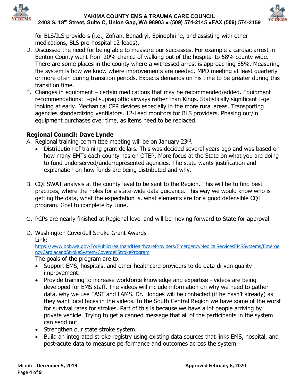



for BLS/ILS providers (i.e., Zofran, Benadryl, Epinephrine, and assisting with other medications, BLS pre-hospital 12-leads).

- D. Discussed the need for being able to measure our successes. For example a cardiac arrest in Benton County went from 20% chance of walking out of the hospital to 58% county wide. There are some places in the county where a witnessed arrest is approaching 85%. Measuring the system is how we know where improvements are needed. MPD meeting at least quarterly or more often during transition periods. Expects demands on his time to be greater during this transition time.
- E. Changes in equipment certain medications that may be recommended/added. Equipment recommendations: I-gel supraglottic airways rather than Kings. Statistically significant I-gel looking at early. Mechanical CPR devices especially in the more rural areas. Transporting agencies standardizing ventilators. 12-Lead monitors for BLS providers. Phasing out/in equipment purchases over time, as items need to be replaced.

# **Regional Council: Dave Lynde**

- A. Regional training committee meeting will be on January 23rd.
	- Distribution of training grant dollars. This was decided several years ago and was based on how many EMTs each county has on OTEP. More focus at the State on what you are doing to fund underserved/underrepresented agencies. The state wants justification and explanation on how funds are being distributed and why.
- B. CQI SWAT analysis at the county level to be sent to the Region. This will be to find best practices, where the holes for a state-wide data guidance. This way we would know who is getting the data, what the expectation is, what elements are for a good defensible CQI program. Goal to complete by June.
- C. PCPs are nearly finished at Regional level and will be moving forward to State for approval.
- D. Washington Coverdell Stroke Grant Awards

Link:

[https://www.doh.wa.gov/ForPublicHealthandHealthcareProviders/EmergencyMedicalServicesEMSSystems/Emerge](https://www.doh.wa.gov/ForPublicHealthandHealthcareProviders/EmergencyMedicalServicesEMSSystems/EmergencyCardiacandStrokeSystem/CoverdellStrokeProgram) [ncyCardiacandStrokeSystem/CoverdellStrokeProgram](https://www.doh.wa.gov/ForPublicHealthandHealthcareProviders/EmergencyMedicalServicesEMSSystems/EmergencyCardiacandStrokeSystem/CoverdellStrokeProgram)

The goals of the program are to:

- Support EMS, hospitals, and other healthcare providers to do data-driven quality improvement.
- Provide training to increase workforce knowledge and expertise videos are being developed for EMS staff. The videos will include information on why we need to gather data, why we use FAST and LAMS. Dr. Hodges will be contacted (if he hasn't already) as they want local faces in the videos. In the South Central Region we have some of the worst for survival rates for strokes. Part of this is because we have a lot people arriving by private vehicle. Trying to get a canned message that all of the participants in the system can send out.
- Strengthen our state stroke system.
- Build an integrated stroke registry using existing data sources that links EMS, hospital, and post-acute data to measure performance and outcomes across the system.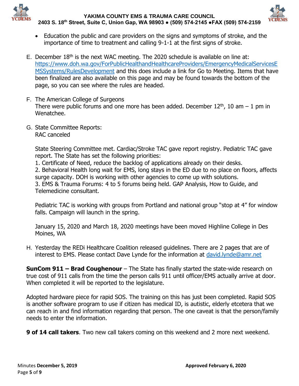



- Education the public and care providers on the signs and symptoms of stroke, and the importance of time to treatment and calling 9-1-1 at the first signs of stroke.
- E. December  $18<sup>th</sup>$  is the next WAC meeting. The 2020 schedule is available on line at: [https://www.doh.wa.gov/ForPublicHealthandHealthcareProviders/EmergencyMedicalServicesE](https://www.doh.wa.gov/ForPublicHealthandHealthcareProviders/EmergencyMedicalServicesEMSSystems/RulesDevelopment) [MSSystems/RulesDevelopment](https://www.doh.wa.gov/ForPublicHealthandHealthcareProviders/EmergencyMedicalServicesEMSSystems/RulesDevelopment) and this does include a link for Go to Meeting. Items that have been finalized are also available on this page and may be found towards the bottom of the page, so you can see where the rules are headed.
- F. The American College of Surgeons There were public forums and one more has been added. December  $12<sup>th</sup>$ , 10 am  $-1$  pm in Wenatchee.
- G. State Committee Reports: RAC canceled

State Steering Committee met. Cardiac/Stroke TAC gave report registry. Pediatric TAC gave report. The State has set the following priorities:

1. Certificate of Need, reduce the backlog of applications already on their desks.

2. Behavioral Health long wait for EMS, long stays in the ED due to no place on floors, affects surge capacity. DOH is working with other agencies to come up with solutions. 3. EMS & Trauma Forums: 4 to 5 forums being held. GAP Analysis, How to Guide, and

Telemedicine consultant.

Pediatric TAC is working with groups from Portland and national group "stop at 4" for window falls. Campaign will launch in the spring.

January 15, 2020 and March 18, 2020 meetings have been moved Highline College in Des Moines, WA

H. Yesterday the REDi Healthcare Coalition released guidelines. There are 2 pages that are of interest to EMS. Please contact Dave Lynde for the information at [david.lynde@amr.net](mailto:david.lynde@amr.net)

**SunCom 911 – Brad Coughenour** – The State has finally started the state-wide research on true cost of 911 calls from the time the person calls 911 until officer/EMS actually arrive at door. When completed it will be reported to the legislature.

Adopted hardware piece for rapid SOS. The training on this has just been completed. Rapid SOS is another software program to use if citizen has medical ID, is autistic, elderly etcetera that we can reach in and find information regarding that person. The one caveat is that the person/family needs to enter the information.

**9 of 14 call takers**. Two new call takers coming on this weekend and 2 more next weekend.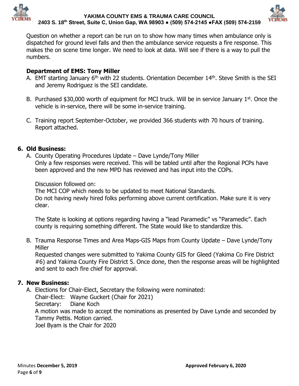



Question on whether a report can be run on to show how many times when ambulance only is dispatched for ground level falls and then the ambulance service requests a fire response. This makes the on scene time longer. We need to look at data. Will see if there is a way to pull the numbers.

# **Department of EMS: Tony Miller**

- A. EMT starting January 6<sup>th</sup> with 22 students. Orientation December 14<sup>th</sup>. Steve Smith is the SEI and Jeremy Rodriguez is the SEI candidate.
- B. Purchased  $$30,000$  worth of equipment for MCI truck. Will be in service January  $1<sup>st</sup>$ . Once the vehicle is in-service, there will be some in-service training.
- C. Training report September-October, we provided 366 students with 70 hours of training. Report attached.

# **6. Old Business:**

A. County Operating Procedures Update – Dave Lynde/Tony Miller Only a few responses were received. This will be tabled until after the Regional PCPs have been approved and the new MPD has reviewed and has input into the COPs.

Discussion followed on:

The MCI COP which needs to be updated to meet National Standards. Do not having newly hired folks performing above current certification. Make sure it is very clear.

The State is looking at options regarding having a "lead Paramedic" vs "Paramedic". Each county is requiring something different. The State would like to standardize this.

B. Trauma Response Times and Area Maps-GIS Maps from County Update – Dave Lynde/Tony Miller

Requested changes were submitted to Yakima County GIS for Gleed (Yakima Co Fire District #6) and Yakima County Fire District 5. Once done, then the response areas will be highlighted and sent to each fire chief for approval.

# **7. New Business:**

A. Elections for Chair-Elect, Secretary the following were nominated:

Chair-Elect: Wayne Guckert (Chair for 2021)

Secretary: Diane Koch

A motion was made to accept the nominations as presented by Dave Lynde and seconded by Tammy Pettis. Motion carried.

Joel Byam is the Chair for 2020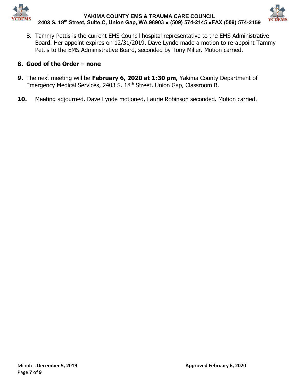



B. Tammy Pettis is the current EMS Council hospital representative to the EMS Administrative Board. Her appoint expires on 12/31/2019. Dave Lynde made a motion to re-appoint Tammy Pettis to the EMS Administrative Board, seconded by Tony Miller. Motion carried.

# **8. Good of the Order – none**

- **9.** The next meeting will be **February 6, 2020 at 1:30 pm,** Yakima County Department of Emergency Medical Services, 2403 S. 18th Street, Union Gap, Classroom B.
- **10.** Meeting adjourned. Dave Lynde motioned, Laurie Robinson seconded. Motion carried.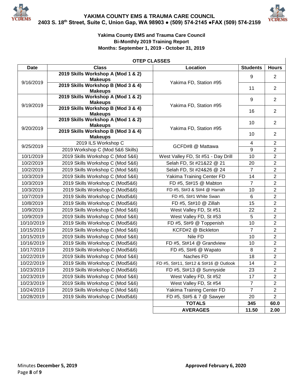



 $\mathsf{l}$ 

### **Yakima County EMS and Trauma Care Council Bi-Monthly 2019 Training Report Months: September 1, 2019 - October 31, 2019**

### **OTEP CLASSES**

| <b>Date</b> | <b>Class</b>                                             | Location                              | <b>Students</b> | <b>Hours</b>   |
|-------------|----------------------------------------------------------|---------------------------------------|-----------------|----------------|
|             | 2019 Skills Workshop A (Mod 1 & 2)                       |                                       | 9               | 2              |
| 9/16/2019   | <b>Makeups</b><br>2019 Skills Workshop B (Mod 3 & 4)     | Yakima FD, Station #95                |                 |                |
|             | <b>Makeups</b>                                           |                                       | 11              | $\overline{2}$ |
|             | 2019 Skills Workshop A (Mod 1 & 2)                       |                                       | 9               | $\overline{2}$ |
| 9/19/2019   | <b>Makeups</b>                                           | Yakima FD, Station #95                |                 |                |
|             | 2019 Skills Workshop B (Mod 3 & 4)<br><b>Makeups</b>     |                                       | 16              | $\overline{2}$ |
|             | 2019 Skills Workshop A (Mod 1 & 2)                       |                                       | 10              | $\overline{2}$ |
| 9/20/2019   | <b>Makeups</b>                                           | Yakima FD, Station #95                |                 |                |
|             | 2019 Skills Workshop B (Mod 3 & 4)<br><b>Makeups</b>     |                                       | 10              | 2              |
|             | 2019 ILS Workshop C                                      |                                       | 4               | $\overline{2}$ |
| 9/25/2019   | 2019 Workshop C (Mod 5&6 Skills)                         | GCFD#8 @ Mattawa                      | 9               | $\overline{2}$ |
| 10/1/2019   | 2019 Skills Workshop C (Mod 5&6)                         | West Valley FD, St #51 - Day Drill    | 10              | $\overline{2}$ |
| 10/2/2019   | 2019 Skills Workshop C (Mod 5&6)                         | Selah FD, St #21&22 @ 21              | 20              | $\overline{2}$ |
| 10/2/2019   | 2019 Skills Workshop C (Mod 5&6)                         | Selah FD, St #24&26 @ 24              | $\overline{7}$  | $\overline{2}$ |
| 10/3/2019   | 2019 Skills Workshop C (Mod 5&6)                         | Yakima Training Center FD             | 14              | $\overline{2}$ |
| 10/3/2019   | 2019 Skills Workshop C (Mod5&6)<br>FD #5, St#15 @ Mabton |                                       | $\overline{7}$  | $\overline{2}$ |
| 10/3/2019   | 2019 Skills Workshop C (Mod5&6)                          | FD #5, St#3 & St#4 @ Harrah           | 10              | $\overline{2}$ |
| 10/7/2019   | 2019 Skills Workshop C (Mod5&6)                          | FD #5, St#1 White Swan                | 6               | $\overline{2}$ |
| 10/8/2019   | 2019 Skills Workshop C (Mod5&6)                          | FD #5, St#10 @ Zillah                 | 15              | $\overline{2}$ |
| 10/9/2019   | 2019 Skills Workshop C (Mod 5&6)                         | West Valley FD, St #51                | 22              | $\overline{2}$ |
| 10/9/2019   | 2019 Skills Workshop C (Mod 5&6)                         | West Valley FD, St #53                | 5               | $\overline{2}$ |
| 10/10/2019  | 2019 Skills Workshop C (Mod5&6)                          | FD #5, St#9 @ Toppenish               | 10              | $\overline{2}$ |
| 10/15/2019  | 2019 Skills Workshop C (Mod 5&6)                         | KCFD#2 @ Bickleton                    | $\overline{7}$  | $\overline{2}$ |
| 10/15/2019  | 2019 Skills Workshop C (Mod 5&6)                         | Nile FD                               | 10              | $\overline{2}$ |
| 10/16/2019  | 2019 Skills Workshop C (Mod5&6)                          | FD #5, St#14 @ Grandview              | 10              | $\overline{2}$ |
| 10/17/2019  | 2019 Skills Workshop C (Mod5&6)                          | FD #5, St#6 @ Wapato                  | 8               | $\overline{2}$ |
| 10/22/2019  | 2019 Skills Workshop C (Mod 5&6)                         | Naches FD                             | 18              | $\overline{2}$ |
| 10/22/2019  | 2019 Skills Workshop C (Mod5&6)                          | FD #5, St#11, St#12 & St#16 @ Outlook | 14              | $\overline{2}$ |
| 10/23/2019  | 2019 Skills Workshop C (Mod5&6)                          | FD #5, St#13 @ Sunnyside              | 23              | $\overline{2}$ |
| 10/23/2019  | 2019 Skills Workshop C (Mod 5&6)                         | West Valley FD, St #52                | 17              | $\overline{2}$ |
| 10/23/2019  | 2019 Skills Workshop C (Mod 5&6)                         | West Valley FD, St #54                | $\overline{7}$  | $\overline{2}$ |
| 10/24/2019  | 2019 Skills Workshop C (Mod 5&6)                         | Yakima Training Center FD             | $\overline{7}$  | $\overline{2}$ |
| 10/28/2019  | 2019 Skills Workshop C (Mod5&6)                          | FD #5, St#5 & 7 @ Sawyer              | 20              | $\overline{2}$ |
|             |                                                          | <b>TOTALS</b>                         | 345             | 60.0           |
|             |                                                          | <b>AVERAGES</b>                       | 11.50           | 2.00           |